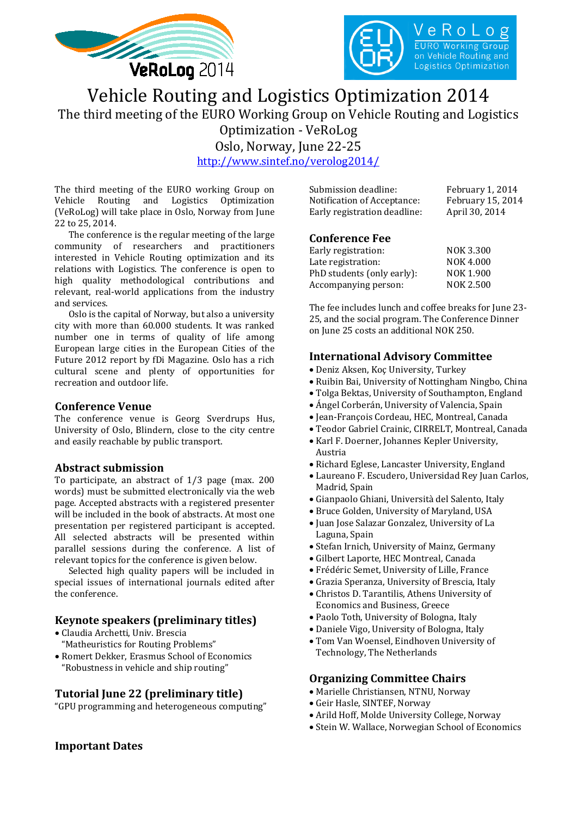



# Vehicle Routing and Logistics Optimization 2014 The third meeting of the EURO Working Group on Vehicle Routing and Logistics Optimization - VeRoLog Oslo, Norway, June 22-25 <http://www.sintef.no/verolog2014/>

The third meeting of the EURO working Group on<br>Vehicle Routing and Logistics Optimization Vehicle Routing and Logistics (VeRoLog) will take place in Oslo, Norway from June 22 to 25, 2014.

The conference is the regular meeting of the large community of researchers and practitioners interested in Vehicle Routing optimization and its relations with Logistics. The conference is open to high quality methodological contributions and relevant, real-world applications from the industry and services.

Oslo is the capital of Norway, but also a university city with more than 60.000 students. It was ranked number one in terms of quality of life among European large cities in the European Cities of the Future 2012 report by fDi Magazine. Oslo has a rich cultural scene and plenty of opportunities for recreation and outdoor life.

#### **Conference Venue**

The conference venue is Georg Sverdrups Hus, University of Oslo, Blindern, close to the city centre and easily reachable by public transport.

### **Abstract submission**

To participate, an abstract of 1/3 page (max. 200 words) must be submitted electronically via the web page. Accepted abstracts with a registered presenter will be included in the book of abstracts. At most one presentation per registered participant is accepted. All selected abstracts will be presented within parallel sessions during the conference. A list of relevant topics for the conference is given below.

Selected high quality papers will be included in special issues of international journals edited after the conference.

## **Keynote speakers (preliminary titles)**

- Claudia Archetti, Univ. Brescia "Matheuristics for Routing Problems"
- Romert Dekker, Erasmus School of Economics "Robustness in vehicle and ship routing"

### **Tutorial June 22 (preliminary title)**

"GPU programming and heterogeneous computing"

| Submission deadline:         | February 1, 2014  |
|------------------------------|-------------------|
| Notification of Acceptance:  | February 15, 2014 |
| Early registration deadline: | April 30, 2014    |

## **Conference Fee**

| Early registration:        | <b>NOK 3.300</b> |
|----------------------------|------------------|
| Late registration:         | <b>NOK 4.000</b> |
| PhD students (only early): | NOK 1.900        |
| Accompanying person:       | <b>NOK 2.500</b> |
|                            |                  |

The fee includes lunch and coffee breaks for June 23- 25, and the social program. The Conference Dinner on June 25 costs an additional NOK 250.

## **International Advisory Committee**

- Deniz Aksen, Koç University, Turkey
- Ruibin Bai, University of Nottingham Ningbo, China
- Tolga Bektas, University of Southampton, England
- Ángel Corberán, University of Valencia, Spain
- Jean-François Cordeau, HEC, Montreal, Canada
- Teodor Gabriel Crainic, CIRRELT, Montreal, Canada
- Karl F. Doerner, Johannes Kepler University, Austria
- Richard Eglese, Lancaster University, England
- Laureano F. Escudero, Universidad Rey Juan Carlos, Madrid, Spain
- Gianpaolo Ghiani, Università del Salento, Italy
- Bruce Golden, University of Maryland, USA
- Juan Jose Salazar Gonzalez, University of La Laguna, Spain
- Stefan Irnich, University of Mainz, Germany
- Gilbert Laporte, HEC Montreal, Canada
- Frédéric Semet, University of Lille, France
- Grazia Speranza, University of Brescia, Italy
- Christos D. Tarantilis, Athens University of Economics and Business, Greece
- Paolo Toth, University of Bologna, Italy
- Daniele Vigo, University of Bologna, Italy
- Tom Van Woensel, Eindhoven University of Technology, The Netherlands

### **Organizing Committee Chairs**

- Marielle Christiansen, NTNU, Norway
- Geir Hasle, SINTEF, Norway
- Arild Hoff, Molde University College, Norway
- Stein W. Wallace, Norwegian School of Economics

## **Important Dates**